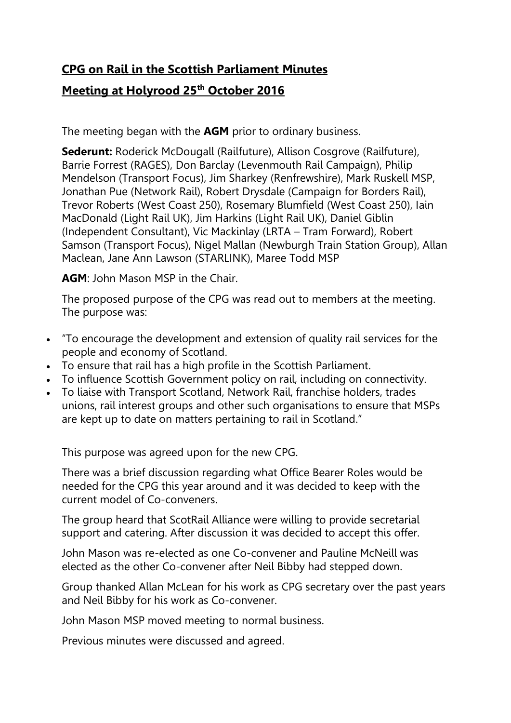## **CPG on Rail in the Scottish Parliament Minutes**

## **Meeting at Holyrood 25th October 2016**

The meeting began with the **AGM** prior to ordinary business.

**Sederunt:** Roderick McDougall (Railfuture), Allison Cosgrove (Railfuture), Barrie Forrest (RAGES), Don Barclay (Levenmouth Rail Campaign), Philip Mendelson (Transport Focus), Jim Sharkey (Renfrewshire), Mark Ruskell MSP, Jonathan Pue (Network Rail), Robert Drysdale (Campaign for Borders Rail), Trevor Roberts (West Coast 250), Rosemary Blumfield (West Coast 250), Iain MacDonald (Light Rail UK), Jim Harkins (Light Rail UK), Daniel Giblin (Independent Consultant), Vic Mackinlay (LRTA – Tram Forward), Robert Samson (Transport Focus), Nigel Mallan (Newburgh Train Station Group), Allan Maclean, Jane Ann Lawson (STARLINK), Maree Todd MSP

**AGM**: John Mason MSP in the Chair.

The proposed purpose of the CPG was read out to members at the meeting. The purpose was:

- "To encourage the development and extension of quality rail services for the people and economy of Scotland.
- To ensure that rail has a high profile in the Scottish Parliament.
- To influence Scottish Government policy on rail, including on connectivity.
- To liaise with Transport Scotland, Network Rail, franchise holders, trades unions, rail interest groups and other such organisations to ensure that MSPs are kept up to date on matters pertaining to rail in Scotland."

This purpose was agreed upon for the new CPG.

There was a brief discussion regarding what Office Bearer Roles would be needed for the CPG this year around and it was decided to keep with the current model of Co-conveners.

The group heard that ScotRail Alliance were willing to provide secretarial support and catering. After discussion it was decided to accept this offer.

John Mason was re-elected as one Co-convener and Pauline McNeill was elected as the other Co-convener after Neil Bibby had stepped down.

Group thanked Allan McLean for his work as CPG secretary over the past years and Neil Bibby for his work as Co-convener.

John Mason MSP moved meeting to normal business.

Previous minutes were discussed and agreed.